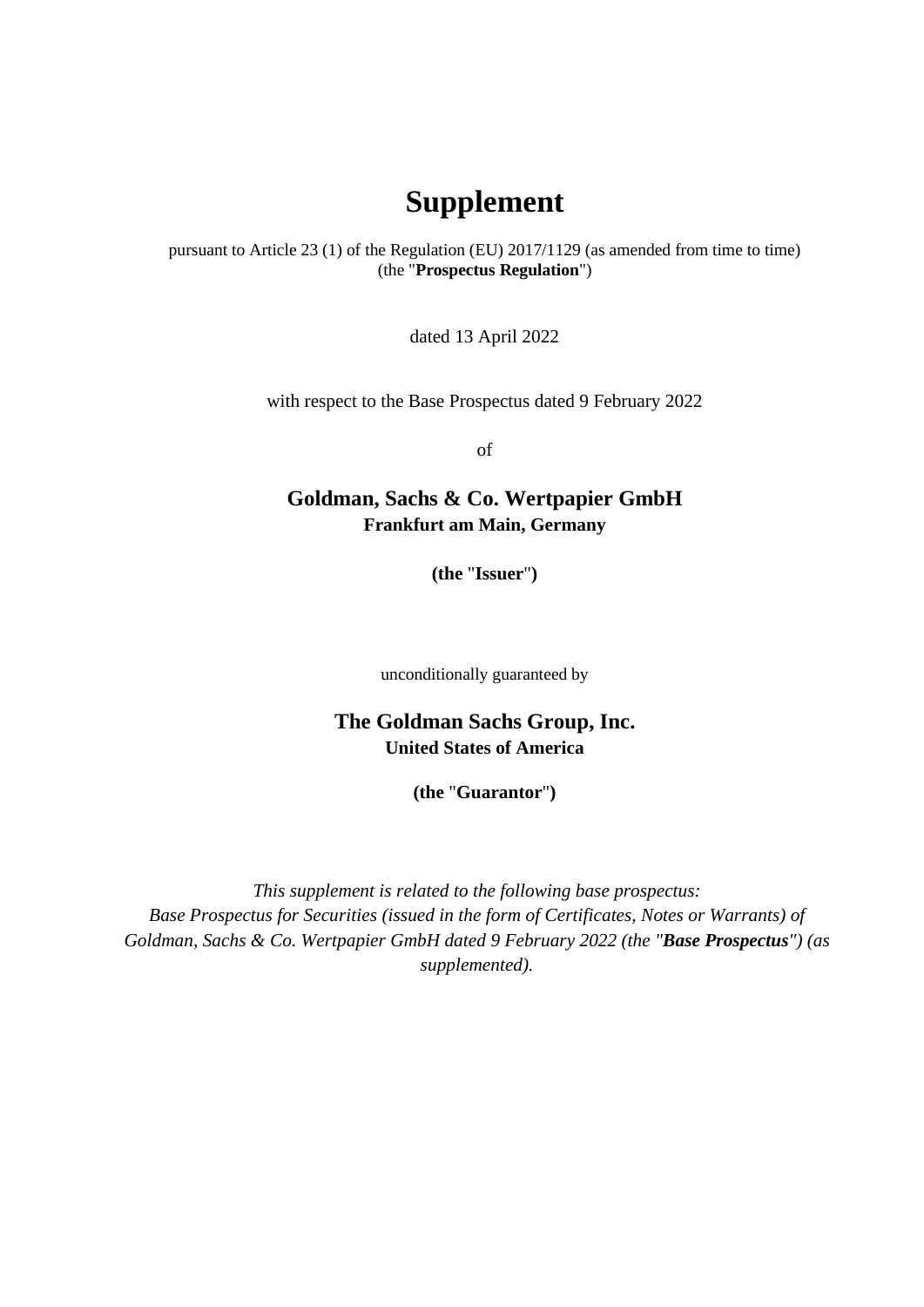## **Supplement**

pursuant to Article 23 (1) of the Regulation (EU) 2017/1129 (as amended from time to time) (the "**Prospectus Regulation**")

dated 13 April 2022

with respect to the Base Prospectus dated 9 February 2022

of

## **Goldman, Sachs & Co. Wertpapier GmbH Frankfurt am Main, Germany**

**(the** "**Issuer**"**)** 

unconditionally guaranteed by

## **The Goldman Sachs Group, Inc. United States of America**

**(the** "**Guarantor**"**)** 

*This supplement is related to the following base prospectus: Base Prospectus for Securities (issued in the form of Certificates, Notes or Warrants) of Goldman, Sachs & Co. Wertpapier GmbH dated 9 February 2022 (the "Base Prospectus") (as supplemented).*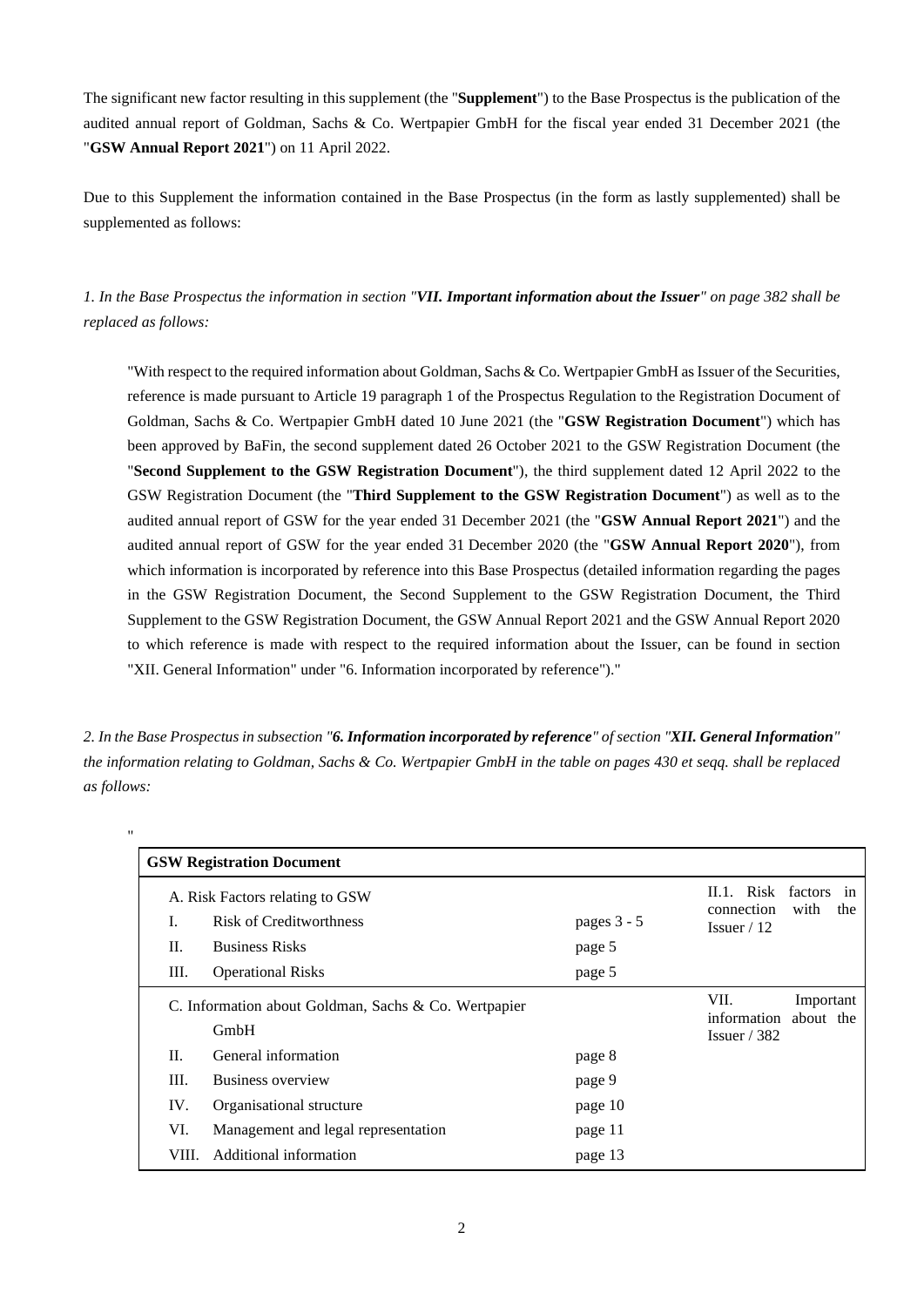The significant new factor resulting in this supplement (the "**Supplement**") to the Base Prospectus is the publication of the audited annual report of Goldman, Sachs & Co. Wertpapier GmbH for the fiscal year ended 31 December 2021 (the "**GSW Annual Report 2021**") on 11 April 2022.

Due to this Supplement the information contained in the Base Prospectus (in the form as lastly supplemented) shall be supplemented as follows:

*1. In the Base Prospectus the information in section "VII. Important information about the Issuer" on page 382 shall be replaced as follows:* 

"With respect to the required information about Goldman, Sachs & Co. Wertpapier GmbH as Issuer of the Securities, reference is made pursuant to Article 19 paragraph 1 of the Prospectus Regulation to the Registration Document of Goldman, Sachs & Co. Wertpapier GmbH dated 10 June 2021 (the "**GSW Registration Document**") which has been approved by BaFin, the second supplement dated 26 October 2021 to the GSW Registration Document (the "**Second Supplement to the GSW Registration Document**"), the third supplement dated 12 April 2022 to the GSW Registration Document (the "**Third Supplement to the GSW Registration Document**") as well as to the audited annual report of GSW for the year ended 31 December 2021 (the "**GSW Annual Report 2021**") and the audited annual report of GSW for the year ended 31 December 2020 (the "**GSW Annual Report 2020**"), from which information is incorporated by reference into this Base Prospectus (detailed information regarding the pages in the GSW Registration Document, the Second Supplement to the GSW Registration Document, the Third Supplement to the GSW Registration Document, the GSW Annual Report 2021 and the GSW Annual Report 2020 to which reference is made with respect to the required information about the Issuer, can be found in section "XII. General Information" under "6. Information incorporated by reference")."

*2. In the Base Prospectus in subsection "6. Information incorporated by reference" of section "XII. General Information" the information relating to Goldman, Sachs & Co. Wertpapier GmbH in the table on pages 430 et seqq. shall be replaced as follows:* 

| 11    |                                                      |                                                       |                                           |  |  |  |
|-------|------------------------------------------------------|-------------------------------------------------------|-------------------------------------------|--|--|--|
|       | <b>GSW Registration Document</b>                     |                                                       |                                           |  |  |  |
|       | A. Risk Factors relating to GSW                      | II.1. Risk factors<br>in<br>with<br>connection<br>the |                                           |  |  |  |
| I.    | Risk of Creditworthness                              | pages 3 - 5                                           | Issuer $/12$                              |  |  |  |
| II.   | <b>Business Risks</b>                                | page 5                                                |                                           |  |  |  |
| Ш.    | <b>Operational Risks</b>                             | page 5                                                |                                           |  |  |  |
|       | C. Information about Goldman, Sachs & Co. Wertpapier | VII.<br>Important                                     |                                           |  |  |  |
|       | GmbH                                                 |                                                       | about the<br>information<br>Issuer $/382$ |  |  |  |
| II.   | General information                                  | page 8                                                |                                           |  |  |  |
| III.  | Business overview                                    | page 9                                                |                                           |  |  |  |
| IV.   | Organisational structure                             | page 10                                               |                                           |  |  |  |
| VI.   | Management and legal representation                  | page 11                                               |                                           |  |  |  |
| VIII. | Additional information                               | page 13                                               |                                           |  |  |  |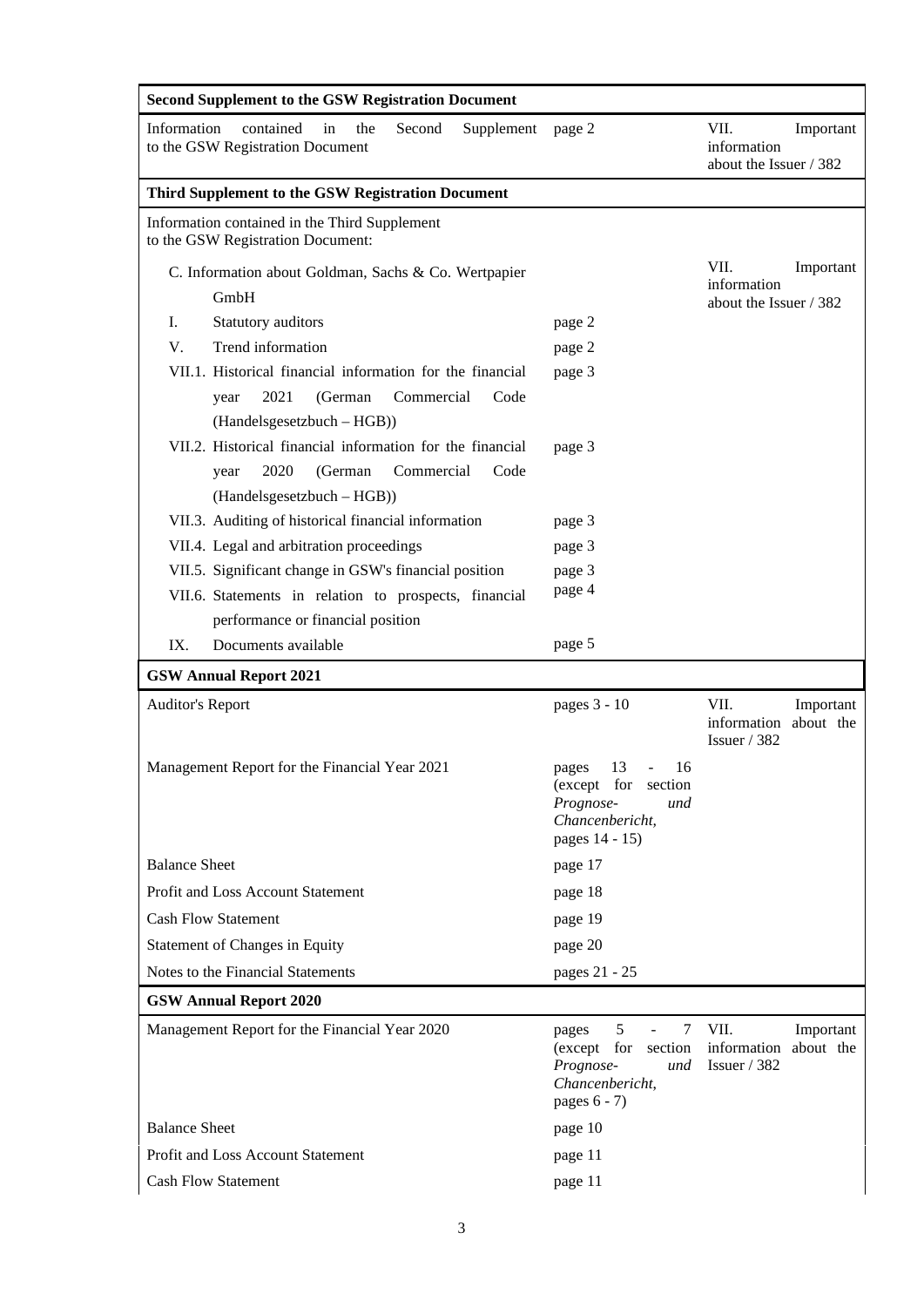| <b>Second Supplement to the GSW Registration Document</b>                                         |                                                                                                                |                                                              |  |  |  |
|---------------------------------------------------------------------------------------------------|----------------------------------------------------------------------------------------------------------------|--------------------------------------------------------------|--|--|--|
| Information<br>contained<br>the<br>Second<br>Supplement<br>in<br>to the GSW Registration Document | page 2                                                                                                         | VII.<br>Important<br>information                             |  |  |  |
|                                                                                                   |                                                                                                                | about the Issuer / 382                                       |  |  |  |
| Third Supplement to the GSW Registration Document                                                 |                                                                                                                |                                                              |  |  |  |
| Information contained in the Third Supplement<br>to the GSW Registration Document:                |                                                                                                                |                                                              |  |  |  |
| C. Information about Goldman, Sachs & Co. Wertpapier                                              |                                                                                                                | VII.<br>Important<br>information                             |  |  |  |
| GmbH<br>Statutory auditors<br>I.                                                                  |                                                                                                                | about the Issuer / 382                                       |  |  |  |
| V.<br>Trend information                                                                           | page 2<br>page 2                                                                                               |                                                              |  |  |  |
| VII.1. Historical financial information for the financial                                         | page 3                                                                                                         |                                                              |  |  |  |
| 2021<br>(German)<br>Commercial<br>Code<br>year                                                    |                                                                                                                |                                                              |  |  |  |
| (Handelsgesetzbuch – HGB))<br>VII.2. Historical financial information for the financial           |                                                                                                                |                                                              |  |  |  |
| 2020<br>(German)<br>Commercial<br>Code<br>year                                                    | page 3                                                                                                         |                                                              |  |  |  |
| (Handelsgesetzbuch – HGB))                                                                        |                                                                                                                |                                                              |  |  |  |
| VII.3. Auditing of historical financial information                                               | page 3                                                                                                         |                                                              |  |  |  |
| VII.4. Legal and arbitration proceedings                                                          | page 3                                                                                                         |                                                              |  |  |  |
| VII.5. Significant change in GSW's financial position                                             | page 3                                                                                                         |                                                              |  |  |  |
| VII.6. Statements in relation to prospects, financial                                             | page 4                                                                                                         |                                                              |  |  |  |
| performance or financial position                                                                 |                                                                                                                |                                                              |  |  |  |
| IX.<br>Documents available                                                                        | page 5                                                                                                         |                                                              |  |  |  |
| <b>GSW Annual Report 2021</b>                                                                     |                                                                                                                |                                                              |  |  |  |
| <b>Auditor's Report</b>                                                                           | pages 3 - 10                                                                                                   | VII.<br>Important<br>information about the<br>Issuer $/$ 382 |  |  |  |
| Management Report for the Financial Year 2021                                                     | 13<br>16<br>pages<br>$\equiv$                                                                                  |                                                              |  |  |  |
|                                                                                                   | (except for section<br>Prognose-<br>und                                                                        |                                                              |  |  |  |
|                                                                                                   | Chancenbericht,<br>pages 14 - 15)                                                                              |                                                              |  |  |  |
| <b>Balance Sheet</b>                                                                              | page 17                                                                                                        |                                                              |  |  |  |
| Profit and Loss Account Statement                                                                 | page 18                                                                                                        |                                                              |  |  |  |
| <b>Cash Flow Statement</b>                                                                        | page 19                                                                                                        |                                                              |  |  |  |
| <b>Statement of Changes in Equity</b>                                                             | page 20                                                                                                        |                                                              |  |  |  |
| Notes to the Financial Statements                                                                 | pages 21 - 25                                                                                                  |                                                              |  |  |  |
| <b>GSW Annual Report 2020</b>                                                                     |                                                                                                                |                                                              |  |  |  |
| Management Report for the Financial Year 2020                                                     | 5<br>$\omega$ .<br>7<br>pages<br>(except for section<br>Prognose-<br>und<br>Chancenbericht,<br>pages $6 - 7$ ) | VII.<br>Important<br>information about the<br>Issuer $/$ 382 |  |  |  |
| <b>Balance Sheet</b>                                                                              | page 10                                                                                                        |                                                              |  |  |  |
| Profit and Loss Account Statement                                                                 | page 11                                                                                                        |                                                              |  |  |  |
| <b>Cash Flow Statement</b>                                                                        | page 11                                                                                                        |                                                              |  |  |  |
|                                                                                                   |                                                                                                                |                                                              |  |  |  |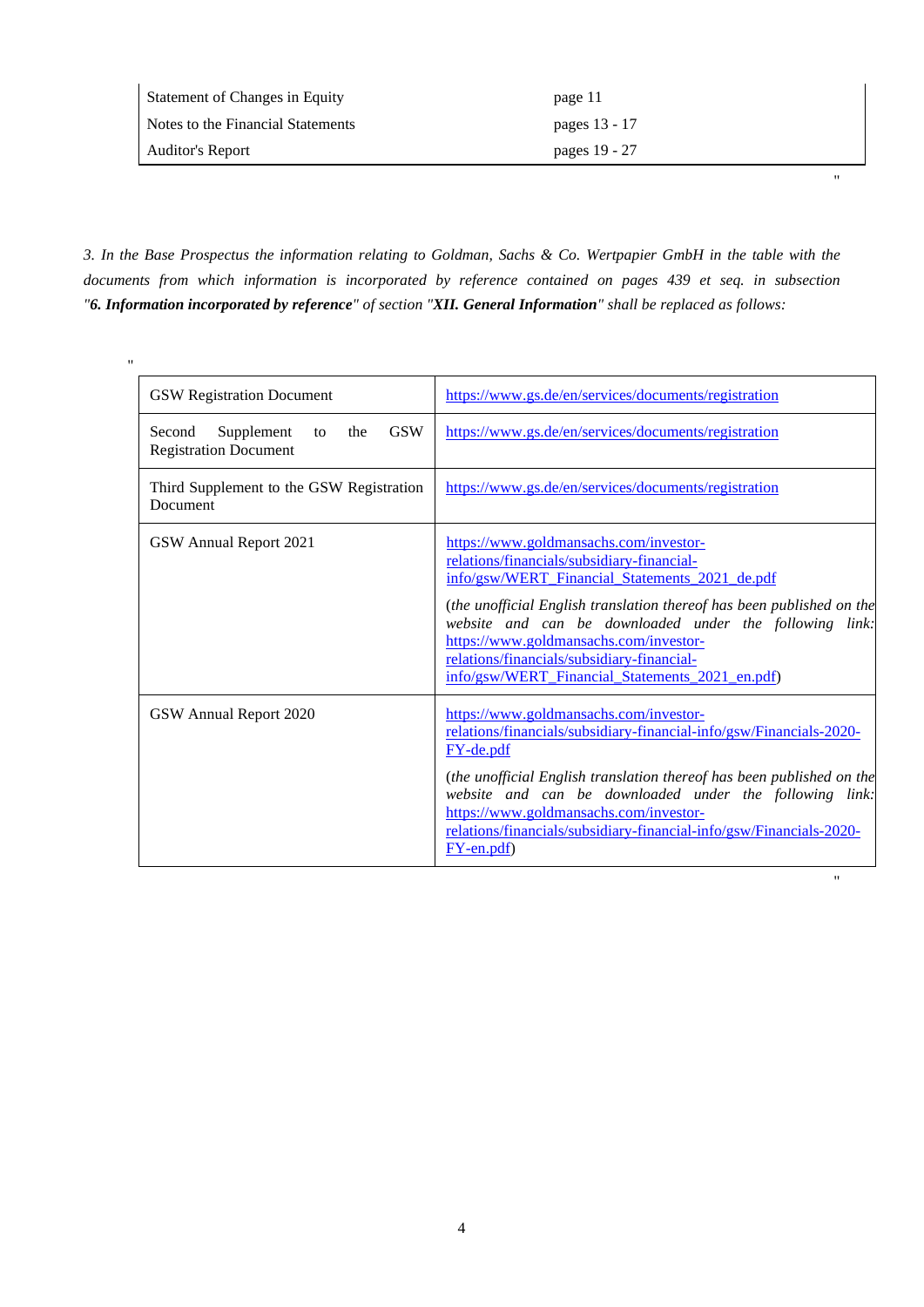| <b>Statement of Changes in Equity</b> | page 11       |
|---------------------------------------|---------------|
| Notes to the Financial Statements     | pages 13 - 17 |
| Auditor's Report                      | pages 19 - 27 |

"

"

*3. In the Base Prospectus the information relating to Goldman, Sachs & Co. Wertpapier GmbH in the table with the documents from which information is incorporated by reference contained on pages 439 et seq. in subsection "6. Information incorporated by reference" of section "XII. General Information" shall be replaced as follows:* 

| $\pmb{\mathsf{H}}$                                                              |                                                                                                                                                                                                                                                                                                                                                                                                                       |
|---------------------------------------------------------------------------------|-----------------------------------------------------------------------------------------------------------------------------------------------------------------------------------------------------------------------------------------------------------------------------------------------------------------------------------------------------------------------------------------------------------------------|
| <b>GSW Registration Document</b>                                                | https://www.gs.de/en/services/documents/registration                                                                                                                                                                                                                                                                                                                                                                  |
| <b>GSW</b><br>the<br>Supplement<br>Second<br>to<br><b>Registration Document</b> | https://www.gs.de/en/services/documents/registration                                                                                                                                                                                                                                                                                                                                                                  |
| Third Supplement to the GSW Registration<br>Document                            | https://www.gs.de/en/services/documents/registration                                                                                                                                                                                                                                                                                                                                                                  |
| GSW Annual Report 2021                                                          | https://www.goldmansachs.com/investor-<br>relations/financials/subsidiary-financial-<br>info/gsw/WERT Financial Statements 2021 de.pdf<br>(the unofficial English translation thereof has been published on the<br>website and can be downloaded under the following link:<br>https://www.goldmansachs.com/investor-<br>relations/financials/subsidiary-financial-<br>info/gsw/WERT Financial Statements 2021 en.pdf) |
| GSW Annual Report 2020                                                          | https://www.goldmansachs.com/investor-<br>relations/financials/subsidiary-financial-info/gsw/Financials-2020-<br>FY-de.pdf<br>(the unofficial English translation thereof has been published on the<br>website and can be downloaded under the following link:<br>https://www.goldmansachs.com/investor-<br>relations/financials/subsidiary-financial-info/gsw/Financials-2020-<br>$FY$ -en.pdf)                      |